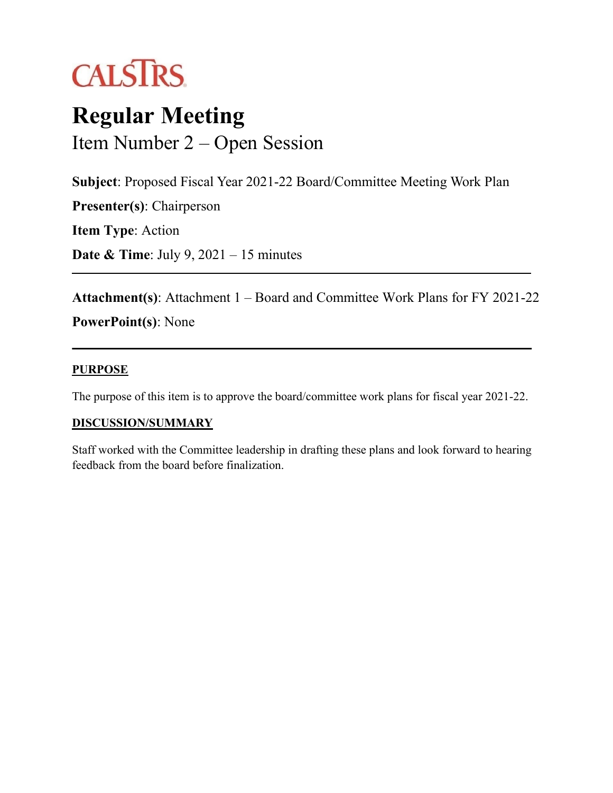

# **Regular Meeting** Item Number 2 – Open Session

**Subject**: Proposed Fiscal Year 2021-22 Board/Committee Meeting Work Plan

**Presenter(s)**: Chairperson

**Item Type**: Action

**Date & Time**: July 9, 2021 – 15 minutes

**Attachment(s)**: Attachment 1 – Board and Committee Work Plans for FY 2021-22 **PowerPoint(s)**: None

#### **PURPOSE**

The purpose of this item is to approve the board/committee work plans for fiscal year 2021-22.

#### **DISCUSSION/SUMMARY**

Staff worked with the Committee leadership in drafting these plans and look forward to hearing feedback from the board before finalization.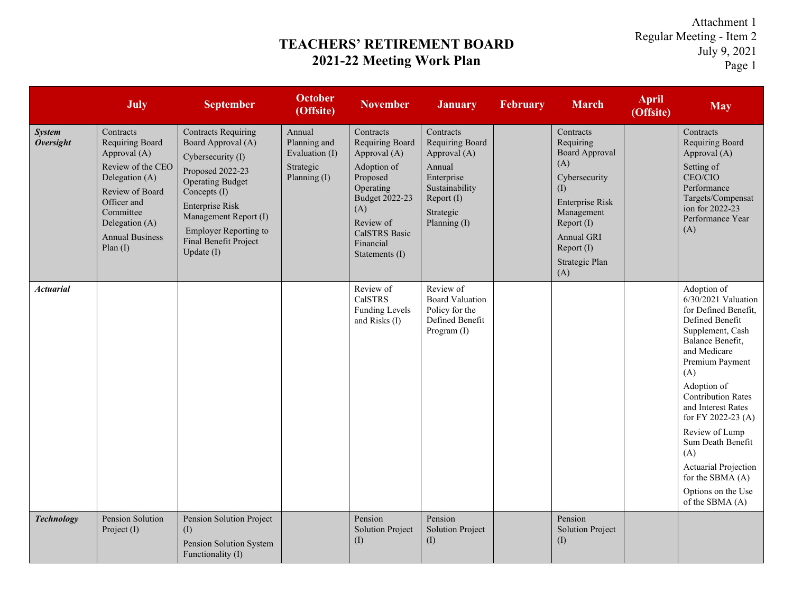## **TEACHERS' RETIREMENT BOARD 2021-22 Meeting Work Plan**

Attachment 1 Regular Meeting - Item 2 July 9, 2021 Page 1

|                                   | July                                                                                                                                                                                         | <b>September</b>                                                                                                                                                                                                                                               | <b>October</b><br>(Offsite)                                           | <b>November</b>                                                                                                                                                            | <b>January</b>                                                                                                                    | <b>February</b> | <b>March</b>                                                                                                                                                                              | <b>April</b><br>(Offsite) | <b>May</b>                                                                                                                                                                                                                                                                                                                                                                                   |
|-----------------------------------|----------------------------------------------------------------------------------------------------------------------------------------------------------------------------------------------|----------------------------------------------------------------------------------------------------------------------------------------------------------------------------------------------------------------------------------------------------------------|-----------------------------------------------------------------------|----------------------------------------------------------------------------------------------------------------------------------------------------------------------------|-----------------------------------------------------------------------------------------------------------------------------------|-----------------|-------------------------------------------------------------------------------------------------------------------------------------------------------------------------------------------|---------------------------|----------------------------------------------------------------------------------------------------------------------------------------------------------------------------------------------------------------------------------------------------------------------------------------------------------------------------------------------------------------------------------------------|
| <b>System</b><br><b>Oversight</b> | Contracts<br>Requiring Board<br>Approval (A)<br>Review of the CEO<br>Delegation (A)<br>Review of Board<br>Officer and<br>Committee<br>Delegation (A)<br><b>Annual Business</b><br>Plan $(I)$ | <b>Contracts Requiring</b><br>Board Approval (A)<br>Cybersecurity (I)<br>Proposed 2022-23<br><b>Operating Budget</b><br>Concepts (I)<br><b>Enterprise Risk</b><br>Management Report (I)<br><b>Employer Reporting to</b><br>Final Benefit Project<br>Update (I) | Annual<br>Planning and<br>Evaluation (I)<br>Strategic<br>Planning (I) | Contracts<br>Requiring Board<br>Approval (A)<br>Adoption of<br>Proposed<br>Operating<br>Budget 2022-23<br>(A)<br>Review of<br>CalSTRS Basic<br>Financial<br>Statements (I) | Contracts<br>Requiring Board<br>Approval (A)<br>Annual<br>Enterprise<br>Sustainability<br>Report (I)<br>Strategic<br>Planning (I) |                 | Contracts<br>Requiring<br><b>Board Approval</b><br>(A)<br>Cybersecurity<br>(I)<br><b>Enterprise Risk</b><br>Management<br>Report (I)<br>Annual GRI<br>Report (I)<br>Strategic Plan<br>(A) |                           | Contracts<br>Requiring Board<br>Approval (A)<br>Setting of<br>CEO/CIO<br>Performance<br>Targets/Compensat<br>ion for 2022-23<br>Performance Year<br>(A)                                                                                                                                                                                                                                      |
| <b>Actuarial</b>                  |                                                                                                                                                                                              |                                                                                                                                                                                                                                                                |                                                                       | Review of<br><b>CalSTRS</b><br><b>Funding Levels</b><br>and Risks (I)                                                                                                      | Review of<br><b>Board Valuation</b><br>Policy for the<br>Defined Benefit<br>Program (I)                                           |                 |                                                                                                                                                                                           |                           | Adoption of<br>$6/30/2021$ Valuation<br>for Defined Benefit,<br>Defined Benefit<br>Supplement, Cash<br>Balance Benefit,<br>and Medicare<br>Premium Payment<br>(A)<br>Adoption of<br><b>Contribution Rates</b><br>and Interest Rates<br>for FY 2022-23 (A)<br>Review of Lump<br>Sum Death Benefit<br>(A)<br>Actuarial Projection<br>for the SBMA (A)<br>Options on the Use<br>of the SBMA (A) |
| <b>Technology</b>                 | Pension Solution<br>Project (I)                                                                                                                                                              | Pension Solution Project<br>(I)<br>Pension Solution System<br>Functionality (I)                                                                                                                                                                                |                                                                       | Pension<br><b>Solution Project</b><br>(I)                                                                                                                                  | Pension<br><b>Solution Project</b><br>(I)                                                                                         |                 | Pension<br><b>Solution Project</b><br>(I)                                                                                                                                                 |                           |                                                                                                                                                                                                                                                                                                                                                                                              |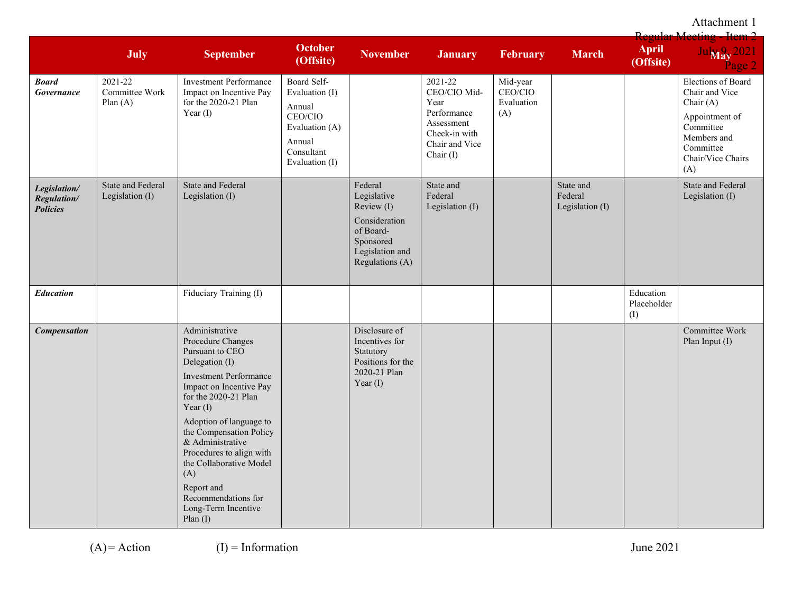Attachment 1

|                                                |                                         |                                                                                                                                                                                                                                                                                                                                                                                              |                                                                                                                |                                                                                                                       |                                                                                                                |                                          |                                         | <b>Regular Meeting</b>          |                                                                                                                                          |
|------------------------------------------------|-----------------------------------------|----------------------------------------------------------------------------------------------------------------------------------------------------------------------------------------------------------------------------------------------------------------------------------------------------------------------------------------------------------------------------------------------|----------------------------------------------------------------------------------------------------------------|-----------------------------------------------------------------------------------------------------------------------|----------------------------------------------------------------------------------------------------------------|------------------------------------------|-----------------------------------------|---------------------------------|------------------------------------------------------------------------------------------------------------------------------------------|
|                                                | July                                    | <b>September</b>                                                                                                                                                                                                                                                                                                                                                                             | <b>October</b><br>(Offsite)                                                                                    | <b>November</b>                                                                                                       | <b>January</b>                                                                                                 | February                                 | <b>March</b>                            | <b>April</b><br>(Offsite)       | Jul <sub>May</sub> 2021<br>$\frac{3}{2}$ age 2                                                                                           |
| <b>Board</b><br>Governance                     | 2021-22<br>Committee Work<br>Plan $(A)$ | <b>Investment Performance</b><br>Impact on Incentive Pay<br>for the 2020-21 Plan<br>Year $(I)$                                                                                                                                                                                                                                                                                               | Board Self-<br>Evaluation (I)<br>Annual<br>CEO/CIO<br>Evaluation (A)<br>Annual<br>Consultant<br>Evaluation (I) |                                                                                                                       | 2021-22<br>CEO/CIO Mid-<br>Year<br>Performance<br>Assessment<br>Check-in with<br>Chair and Vice<br>Chair $(I)$ | Mid-year<br>CEO/CIO<br>Evaluation<br>(A) |                                         |                                 | Elections of Board<br>Chair and Vice<br>Chair (A)<br>Appointment of<br>Committee<br>Members and<br>Committee<br>Chair/Vice Chairs<br>(A) |
| Legislation/<br>Regulation/<br><b>Policies</b> | State and Federal<br>Legislation (I)    | State and Federal<br>Legislation (I)                                                                                                                                                                                                                                                                                                                                                         |                                                                                                                | Federal<br>Legislative<br>Review (I)<br>Consideration<br>of Board-<br>Sponsored<br>Legislation and<br>Regulations (A) | State and<br>Federal<br>Legislation (I)                                                                        |                                          | State and<br>Federal<br>Legislation (I) |                                 | State and Federal<br>Legislation (I)                                                                                                     |
| <b>Education</b>                               |                                         | Fiduciary Training (I)                                                                                                                                                                                                                                                                                                                                                                       |                                                                                                                |                                                                                                                       |                                                                                                                |                                          |                                         | Education<br>Placeholder<br>(I) |                                                                                                                                          |
| <b>Compensation</b>                            |                                         | Administrative<br>Procedure Changes<br>Pursuant to CEO<br>Delegation (I)<br><b>Investment Performance</b><br>Impact on Incentive Pay<br>for the 2020-21 Plan<br>Year $(I)$<br>Adoption of language to<br>the Compensation Policy<br>& Administrative<br>Procedures to align with<br>the Collaborative Model<br>(A)<br>Report and<br>Recommendations for<br>Long-Term Incentive<br>Plan $(I)$ |                                                                                                                | Disclosure of<br>Incentives for<br>Statutory<br>Positions for the<br>2020-21 Plan<br>Year $(I)$                       |                                                                                                                |                                          |                                         |                                 | Committee Work<br>Plan Input (I)                                                                                                         |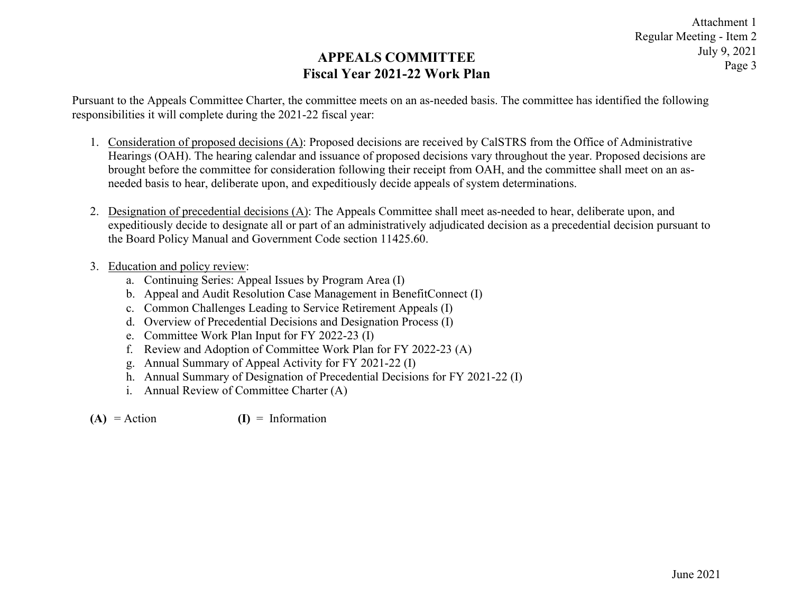### **APPEALS COMMITTEE Fiscal Year 2021-22 Work Plan**

Pursuant to the Appeals Committee Charter, the committee meets on an as-needed basis. The committee has identified the following responsibilities it will complete during the 2021-22 fiscal year:

- 1. Consideration of proposed decisions (A): Proposed decisions are received by CalSTRS from the Office of Administrative Hearings (OAH). The hearing calendar and issuance of proposed decisions vary throughout the year. Proposed decisions are brought before the committee for consideration following their receipt from OAH, and the committee shall meet on an asneeded basis to hear, deliberate upon, and expeditiously decide appeals of system determinations.
- 2. Designation of precedential decisions (A): The Appeals Committee shall meet as-needed to hear, deliberate upon, and expeditiously decide to designate all or part of an administratively adjudicated decision as a precedential decision pursuant to the Board Policy Manual and Government Code section 11425.60.
- 3. Education and policy review:
	- a. Continuing Series: Appeal Issues by Program Area (I)
	- b. Appeal and Audit Resolution Case Management in BenefitConnect (I)
	- c. Common Challenges Leading to Service Retirement Appeals (I)
	- d. Overview of Precedential Decisions and Designation Process (I)
	- e. Committee Work Plan Input for FY 2022-23 (I)
	- f. Review and Adoption of Committee Work Plan for FY 2022-23 (A)
	- g. Annual Summary of Appeal Activity for FY 2021-22 (I)
	- h. Annual Summary of Designation of Precedential Decisions for FY 2021-22 (I)
	- i. Annual Review of Committee Charter (A)
- $(A) = Action$   $(I) = Information$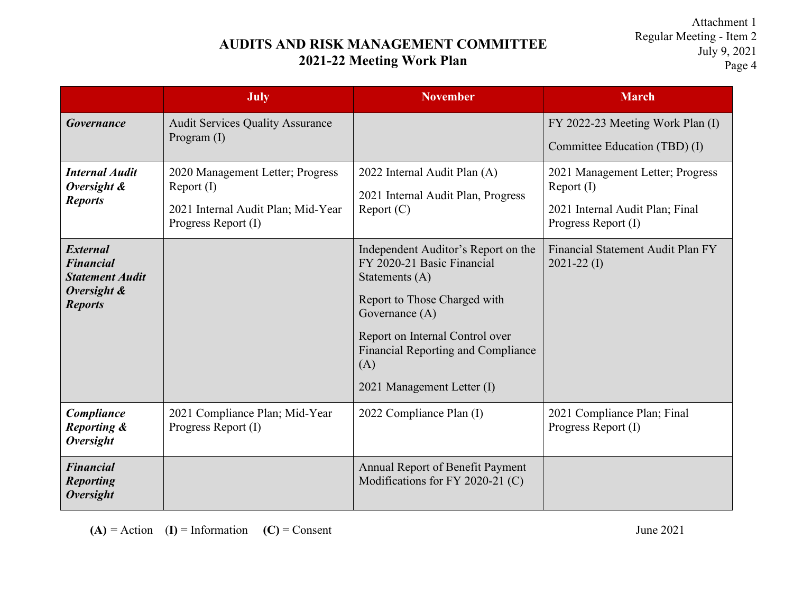## **AUDITS AND RISK MANAGEMENT COMMITTEE 2021-22 Meeting Work Plan**

Attachment 1 Regular Meeting - Item 2 July 9, 2021 Page 4

|                                                                                                | <b>July</b>                                                                                                 | <b>November</b>                                                                                                                                                                                                                                            | <b>March</b>                                                                                             |
|------------------------------------------------------------------------------------------------|-------------------------------------------------------------------------------------------------------------|------------------------------------------------------------------------------------------------------------------------------------------------------------------------------------------------------------------------------------------------------------|----------------------------------------------------------------------------------------------------------|
| <b>Governance</b>                                                                              | <b>Audit Services Quality Assurance</b><br>Program $(I)$                                                    |                                                                                                                                                                                                                                                            | FY 2022-23 Meeting Work Plan (I)<br>Committee Education (TBD) (I)                                        |
| <b>Internal Audit</b><br>Oversight &<br><b>Reports</b>                                         | 2020 Management Letter; Progress<br>Report (I)<br>2021 Internal Audit Plan; Mid-Year<br>Progress Report (I) | 2022 Internal Audit Plan (A)<br>2021 Internal Audit Plan, Progress<br>Report (C)                                                                                                                                                                           | 2021 Management Letter; Progress<br>Report (I)<br>2021 Internal Audit Plan; Final<br>Progress Report (I) |
| <b>External</b><br><b>Financial</b><br><b>Statement Audit</b><br>Oversight &<br><b>Reports</b> |                                                                                                             | Independent Auditor's Report on the<br>FY 2020-21 Basic Financial<br>Statements (A)<br>Report to Those Charged with<br>Governance (A)<br>Report on Internal Control over<br><b>Financial Reporting and Compliance</b><br>(A)<br>2021 Management Letter (I) | Financial Statement Audit Plan FY<br>$2021 - 22 \text{ (I)}$                                             |
| Compliance<br><b>Reporting &amp;</b><br><b>Oversight</b>                                       | 2021 Compliance Plan; Mid-Year<br>Progress Report (I)                                                       | 2022 Compliance Plan (I)                                                                                                                                                                                                                                   | 2021 Compliance Plan; Final<br>Progress Report (I)                                                       |
| <b>Financial</b><br><b>Reporting</b><br><b>Oversight</b>                                       |                                                                                                             | Annual Report of Benefit Payment<br>Modifications for FY 2020-21 (C)                                                                                                                                                                                       |                                                                                                          |

 $(A) =$  Action  $(I) =$  Information  $(C) =$  Consent June 2021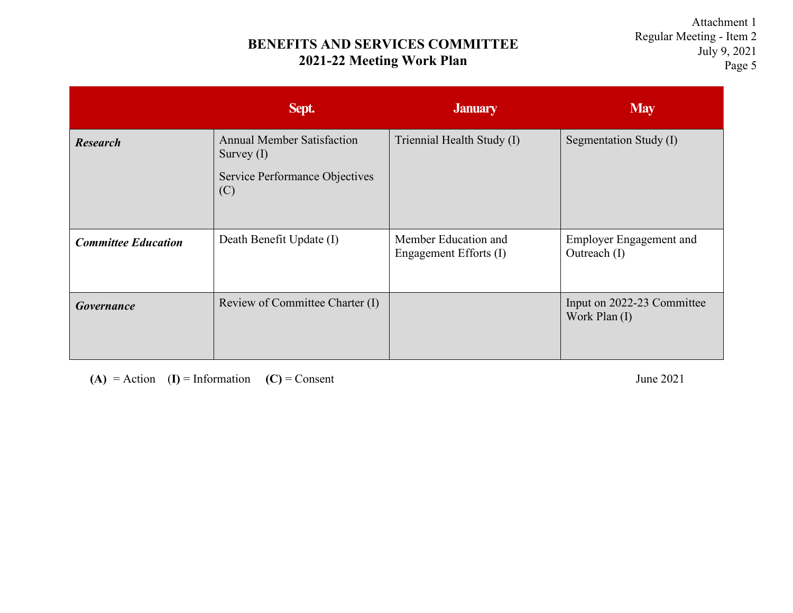## **BENEFITS AND SERVICES COMMITTEE 2021-22 Meeting Work Plan**

Attachment 1 Regular Meeting - Item 2 July 9, 2021 Page 5

|                            | Sept.                                                                                      | <b>January</b>                                 | <b>May</b>                                     |
|----------------------------|--------------------------------------------------------------------------------------------|------------------------------------------------|------------------------------------------------|
| <b>Research</b>            | <b>Annual Member Satisfaction</b><br>Survey $(I)$<br>Service Performance Objectives<br>(C) | Triennial Health Study (I)                     | Segmentation Study (I)                         |
| <b>Committee Education</b> | Death Benefit Update (I)                                                                   | Member Education and<br>Engagement Efforts (I) | <b>Employer Engagement and</b><br>Outreach (I) |
| <b>Governance</b>          | Review of Committee Charter (I)                                                            |                                                | Input on 2022-23 Committee<br>Work Plan (I)    |

 $(A) =$  Action  $(I) =$  Information  $(C) =$  Consent June 2021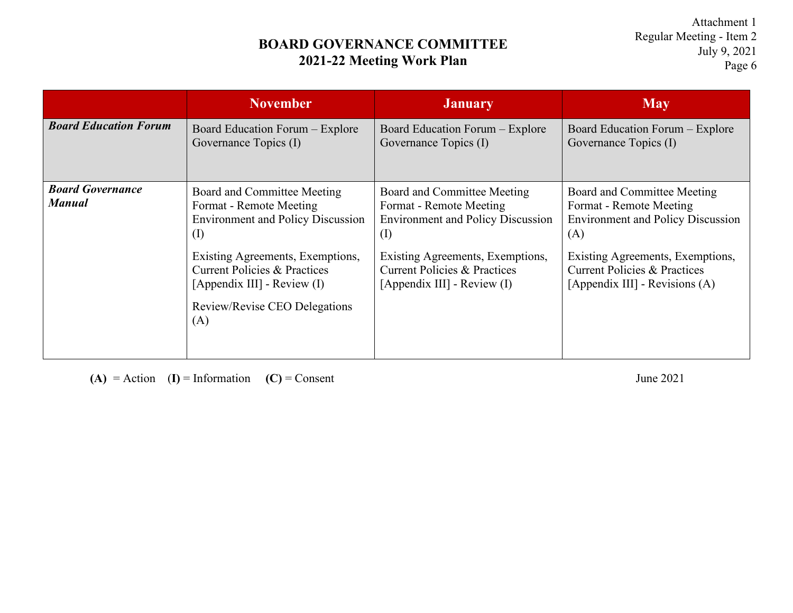## **BOARD GOVERNANCE COMMITTEE 2021-22 Meeting Work Plan**

Attachment 1 Regular Meeting - Item 2 July 9, 2021 Page 6

|                                          | <b>November</b>                                                                                                                                    | <b>January</b>                                                                                                  | <b>May</b>                                                                                                    |
|------------------------------------------|----------------------------------------------------------------------------------------------------------------------------------------------------|-----------------------------------------------------------------------------------------------------------------|---------------------------------------------------------------------------------------------------------------|
| <b>Board Education Forum</b>             | Board Education Forum – Explore<br>Governance Topics (I)                                                                                           | Board Education Forum – Explore<br>Governance Topics (I)                                                        | Board Education Forum – Explore<br>Governance Topics (I)                                                      |
| <b>Board Governance</b><br><b>Manual</b> | Board and Committee Meeting<br>Format - Remote Meeting<br><b>Environment and Policy Discussion</b><br>$($ I)                                       | Board and Committee Meeting<br>Format - Remote Meeting<br><b>Environment and Policy Discussion</b><br>$\rm (I)$ | Board and Committee Meeting<br>Format - Remote Meeting<br><b>Environment and Policy Discussion</b><br>(A)     |
|                                          | Existing Agreements, Exemptions,<br><b>Current Policies &amp; Practices</b><br>[Appendix III] - Review (I)<br>Review/Revise CEO Delegations<br>(A) | Existing Agreements, Exemptions,<br>Current Policies & Practices<br>[Appendix III] - Review (I)                 | Existing Agreements, Exemptions,<br><b>Current Policies &amp; Practices</b><br>[Appendix III] - Revisions (A) |
|                                          |                                                                                                                                                    |                                                                                                                 |                                                                                                               |

 $(A) =$  Action  $(I) =$  Information  $(C) =$  Consent June 2021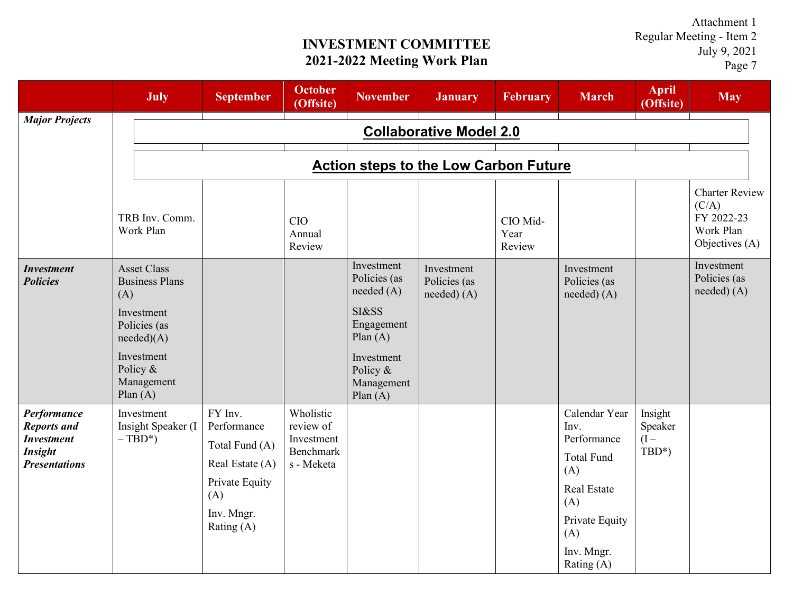**INVESTMENT COMMITTEE 2021-2022 Meeting Work Plan**

Attachment 1 Regular Meeting - Item 2 July 9, 2021 Page 7

|                                                                                                  | <b>July</b>                                                                                                                                          | <b>September</b>                                                                                                 | <b>October</b><br>(Offsite)                                            | <b>November</b>                                                                                                                     | <b>January</b>                          | <b>February</b>            | <b>March</b>                                                                                                                                | <b>April</b><br>(Offsite)             | <b>May</b>                                                                  |  |  |
|--------------------------------------------------------------------------------------------------|------------------------------------------------------------------------------------------------------------------------------------------------------|------------------------------------------------------------------------------------------------------------------|------------------------------------------------------------------------|-------------------------------------------------------------------------------------------------------------------------------------|-----------------------------------------|----------------------------|---------------------------------------------------------------------------------------------------------------------------------------------|---------------------------------------|-----------------------------------------------------------------------------|--|--|
| <b>Major Projects</b>                                                                            | <b>Collaborative Model 2.0</b>                                                                                                                       |                                                                                                                  |                                                                        |                                                                                                                                     |                                         |                            |                                                                                                                                             |                                       |                                                                             |  |  |
|                                                                                                  | <b>Action steps to the Low Carbon Future</b>                                                                                                         |                                                                                                                  |                                                                        |                                                                                                                                     |                                         |                            |                                                                                                                                             |                                       |                                                                             |  |  |
|                                                                                                  | TRB Inv. Comm.<br>Work Plan                                                                                                                          |                                                                                                                  | <b>CIO</b><br>Annual<br>Review                                         |                                                                                                                                     |                                         | CIO Mid-<br>Year<br>Review |                                                                                                                                             |                                       | <b>Charter Review</b><br>(C/A)<br>FY 2022-23<br>Work Plan<br>Objectives (A) |  |  |
| <b>Investment</b><br><b>Policies</b>                                                             | <b>Asset Class</b><br><b>Business Plans</b><br>(A)<br>Investment<br>Policies (as<br>needed)(A)<br>Investment<br>Policy &<br>Management<br>Plan $(A)$ |                                                                                                                  |                                                                        | Investment<br>Policies (as<br>needed (A)<br>SI&SS<br>Engagement<br>Plan $(A)$<br>Investment<br>Policy &<br>Management<br>Plan $(A)$ | Investment<br>Policies (as<br>need) (A) |                            | Investment<br>Policies (as<br>needed) (A)                                                                                                   |                                       | Investment<br>Policies (as<br>needed) (A)                                   |  |  |
| Performance<br><b>Reports and</b><br><b>Investment</b><br><b>Insight</b><br><b>Presentations</b> | Investment<br>Insight Speaker (I<br>$-TBD^*$                                                                                                         | FY Inv.<br>Performance<br>Total Fund (A)<br>Real Estate (A)<br>Private Equity<br>(A)<br>Inv. Mngr.<br>Rating (A) | Wholistic<br>review of<br>Investment<br><b>Benchmark</b><br>s - Meketa |                                                                                                                                     |                                         |                            | Calendar Year<br>Inv.<br>Performance<br><b>Total Fund</b><br>(A)<br>Real Estate<br>(A)<br>Private Equity<br>(A)<br>Inv. Mngr.<br>Rating (A) | Insight<br>Speaker<br>$(I -$<br>TBD*) |                                                                             |  |  |